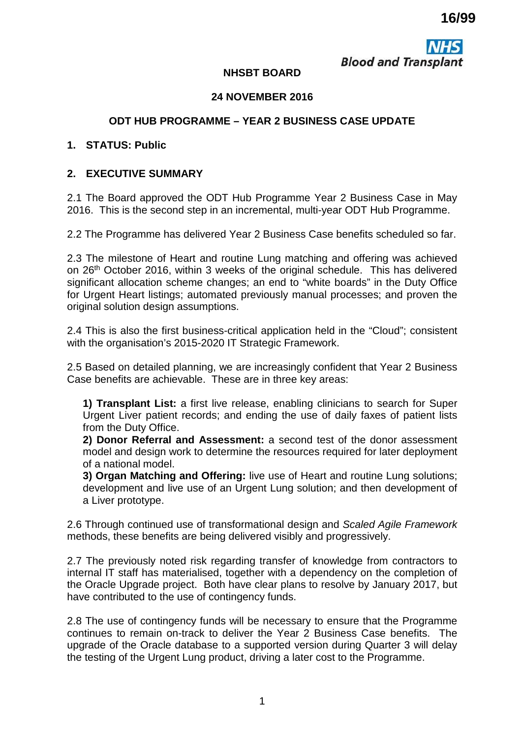**Blood and Transplant** 

## **NHSBT BOARD**

## **24 NOVEMBER 2016**

## **ODT HUB PROGRAMME – YEAR 2 BUSINESS CASE UPDATE**

#### **1. STATUS: Public**

## **2. EXECUTIVE SUMMARY**

2.1 The Board approved the ODT Hub Programme Year 2 Business Case in May 2016. This is the second step in an incremental, multi-year ODT Hub Programme.

2.2 The Programme has delivered Year 2 Business Case benefits scheduled so far.

2.3 The milestone of Heart and routine Lung matching and offering was achieved on 26th October 2016, within 3 weeks of the original schedule. This has delivered significant allocation scheme changes; an end to "white boards" in the Duty Office for Urgent Heart listings; automated previously manual processes; and proven the original solution design assumptions.

2.4 This is also the first business-critical application held in the "Cloud"; consistent with the organisation's 2015-2020 IT Strategic Framework.

2.5 Based on detailed planning, we are increasingly confident that Year 2 Business Case benefits are achievable. These are in three key areas:

**1) Transplant List:** a first live release, enabling clinicians to search for Super Urgent Liver patient records; and ending the use of daily faxes of patient lists from the Duty Office.

**2) Donor Referral and Assessment:** a second test of the donor assessment model and design work to determine the resources required for later deployment of a national model.

**3) Organ Matching and Offering:** live use of Heart and routine Lung solutions; development and live use of an Urgent Lung solution; and then development of a Liver prototype.

2.6 Through continued use of transformational design and *Scaled Agile Framework*  methods, these benefits are being delivered visibly and progressively.

2.7 The previously noted risk regarding transfer of knowledge from contractors to internal IT staff has materialised, together with a dependency on the completion of the Oracle Upgrade project. Both have clear plans to resolve by January 2017, but have contributed to the use of contingency funds.

2.8 The use of contingency funds will be necessary to ensure that the Programme continues to remain on-track to deliver the Year 2 Business Case benefits. The upgrade of the Oracle database to a supported version during Quarter 3 will delay the testing of the Urgent Lung product, driving a later cost to the Programme.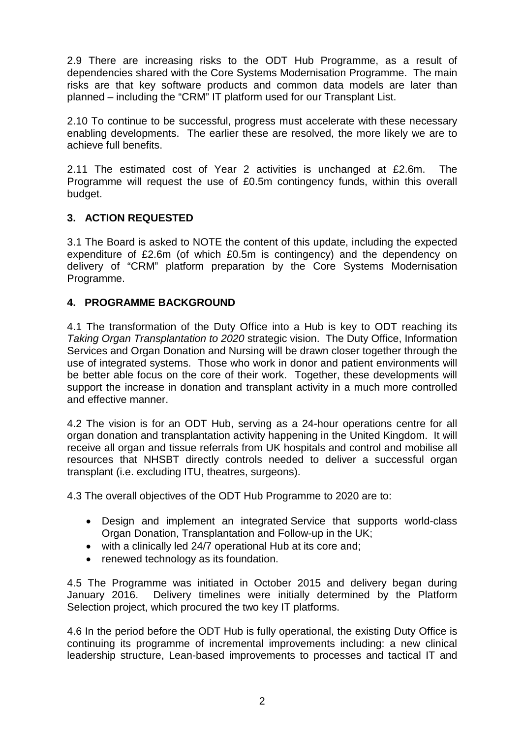2.9 There are increasing risks to the ODT Hub Programme, as a result of dependencies shared with the Core Systems Modernisation Programme. The main risks are that key software products and common data models are later than planned – including the "CRM" IT platform used for our Transplant List.

2.10 To continue to be successful, progress must accelerate with these necessary enabling developments. The earlier these are resolved, the more likely we are to achieve full benefits.

2.11 The estimated cost of Year 2 activities is unchanged at £2.6m. The Programme will request the use of £0.5m contingency funds, within this overall budget.

# **3. ACTION REQUESTED**

3.1 The Board is asked to NOTE the content of this update, including the expected expenditure of £2.6m (of which £0.5m is contingency) and the dependency on delivery of "CRM" platform preparation by the Core Systems Modernisation Programme.

# **4. PROGRAMME BACKGROUND**

4.1 The transformation of the Duty Office into a Hub is key to ODT reaching its *Taking Organ Transplantation to 2020* strategic vision. The Duty Office, Information Services and Organ Donation and Nursing will be drawn closer together through the use of integrated systems. Those who work in donor and patient environments will be better able focus on the core of their work. Together, these developments will support the increase in donation and transplant activity in a much more controlled and effective manner.

4.2 The vision is for an ODT Hub, serving as a 24-hour operations centre for all organ donation and transplantation activity happening in the United Kingdom. It will receive all organ and tissue referrals from UK hospitals and control and mobilise all resources that NHSBT directly controls needed to deliver a successful organ transplant (i.e. excluding ITU, theatres, surgeons).

4.3 The overall objectives of the ODT Hub Programme to 2020 are to:

- Design and implement an integrated Service that supports world-class Organ Donation, Transplantation and Follow-up in the UK;
- with a clinically led 24/7 operational Hub at its core and:
- renewed technology as its foundation.

4.5 The Programme was initiated in October 2015 and delivery began during January 2016. Delivery timelines were initially determined by the Platform Selection project, which procured the two key IT platforms.

4.6 In the period before the ODT Hub is fully operational, the existing Duty Office is continuing its programme of incremental improvements including: a new clinical leadership structure, Lean-based improvements to processes and tactical IT and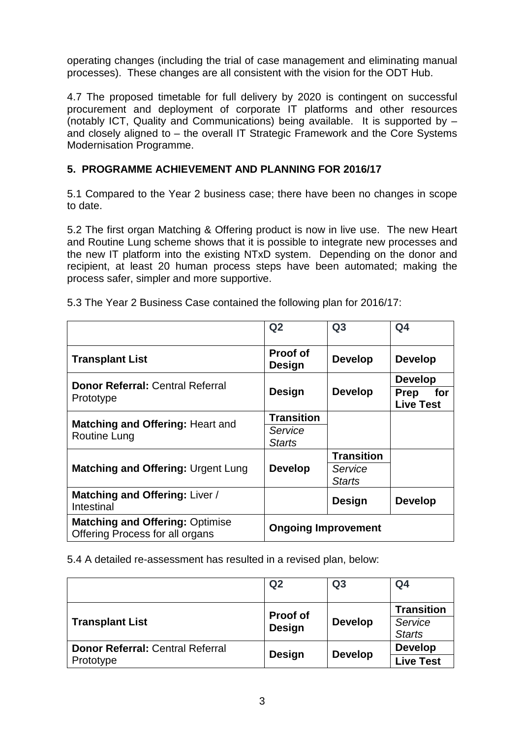operating changes (including the trial of case management and eliminating manual processes). These changes are all consistent with the vision for the ODT Hub.

4.7 The proposed timetable for full delivery by 2020 is contingent on successful procurement and deployment of corporate IT platforms and other resources (notably ICT, Quality and Communications) being available. It is supported by – and closely aligned to – the overall IT Strategic Framework and the Core Systems Modernisation Programme.

# **5. PROGRAMME ACHIEVEMENT AND PLANNING FOR 2016/17**

5.1 Compared to the Year 2 business case; there have been no changes in scope to date.

5.2 The first organ Matching & Offering product is now in live use. The new Heart and Routine Lung scheme shows that it is possible to integrate new processes and the new IT platform into the existing NTxD system. Depending on the donor and recipient, at least 20 human process steps have been automated; making the process safer, simpler and more supportive.

|                                                                           | Q <sub>2</sub>                   | Q <sub>3</sub>    | Q <sub>4</sub>                         |
|---------------------------------------------------------------------------|----------------------------------|-------------------|----------------------------------------|
| <b>Transplant List</b>                                                    | <b>Proof of</b><br><b>Design</b> | <b>Develop</b>    | <b>Develop</b>                         |
| <b>Donor Referral: Central Referral</b>                                   | <b>Design</b>                    | <b>Develop</b>    | <b>Develop</b>                         |
| Prototype                                                                 |                                  |                   | <b>Prep</b><br>for<br><b>Live Test</b> |
|                                                                           | <b>Transition</b>                |                   |                                        |
| <b>Matching and Offering: Heart and</b><br><b>Routine Lung</b>            | Service                          |                   |                                        |
|                                                                           | <b>Starts</b>                    |                   |                                        |
|                                                                           | <b>Develop</b>                   | <b>Transition</b> |                                        |
| <b>Matching and Offering: Urgent Lung</b>                                 |                                  | Service           |                                        |
|                                                                           |                                  | <b>Starts</b>     |                                        |
| Matching and Offering: Liver /<br>Intestinal                              |                                  | Design            | <b>Develop</b>                         |
| <b>Matching and Offering: Optimise</b><br>Offering Process for all organs | <b>Ongoing Improvement</b>       |                   |                                        |

5.3 The Year 2 Business Case contained the following plan for 2016/17:

5.4 A detailed re-assessment has resulted in a revised plan, below:

|                                                      | Q <sub>2</sub>            | Q <sub>3</sub> | Q <sub>4</sub>                                |
|------------------------------------------------------|---------------------------|----------------|-----------------------------------------------|
| <b>Transplant List</b>                               | <b>Proof of</b><br>Design | <b>Develop</b> | <b>Transition</b><br>Service<br><b>Starts</b> |
| <b>Donor Referral: Central Referral</b><br>Prototype | <b>Design</b>             | <b>Develop</b> | <b>Develop</b><br>Live Test                   |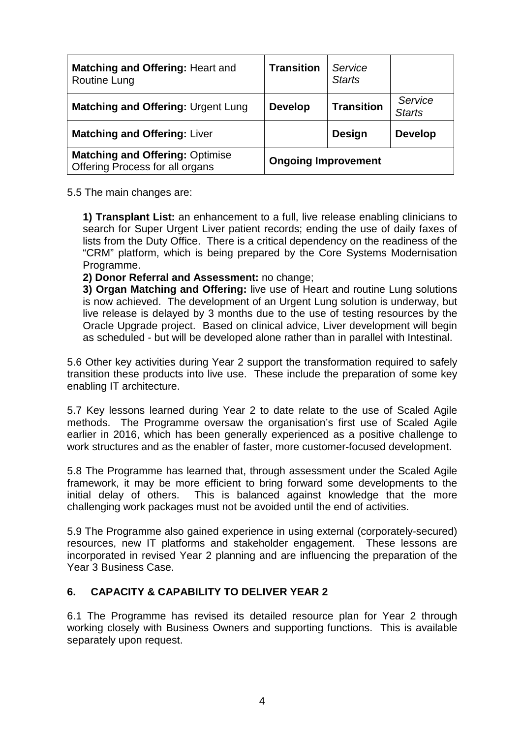| <b>Matching and Offering: Heart and</b><br>Routine Lung                   | <b>Transition</b>          | Service<br><b>Starts</b> |                          |
|---------------------------------------------------------------------------|----------------------------|--------------------------|--------------------------|
| <b>Matching and Offering: Urgent Lung</b>                                 | <b>Develop</b>             | <b>Transition</b>        | Service<br><b>Starts</b> |
| <b>Matching and Offering: Liver</b>                                       |                            | <b>Design</b>            | <b>Develop</b>           |
| <b>Matching and Offering: Optimise</b><br>Offering Process for all organs | <b>Ongoing Improvement</b> |                          |                          |

5.5 The main changes are:

**1) Transplant List:** an enhancement to a full, live release enabling clinicians to search for Super Urgent Liver patient records; ending the use of daily faxes of lists from the Duty Office. There is a critical dependency on the readiness of the "CRM" platform, which is being prepared by the Core Systems Modernisation Programme.

### **2) Donor Referral and Assessment:** no change;

**3) Organ Matching and Offering:** live use of Heart and routine Lung solutions is now achieved. The development of an Urgent Lung solution is underway, but live release is delayed by 3 months due to the use of testing resources by the Oracle Upgrade project. Based on clinical advice, Liver development will begin as scheduled - but will be developed alone rather than in parallel with Intestinal.

5.6 Other key activities during Year 2 support the transformation required to safely transition these products into live use. These include the preparation of some key enabling IT architecture.

5.7 Key lessons learned during Year 2 to date relate to the use of Scaled Agile methods. The Programme oversaw the organisation's first use of Scaled Agile earlier in 2016, which has been generally experienced as a positive challenge to work structures and as the enabler of faster, more customer-focused development.

5.8 The Programme has learned that, through assessment under the Scaled Agile framework, it may be more efficient to bring forward some developments to the initial delay of others. This is balanced against knowledge that the more challenging work packages must not be avoided until the end of activities.

5.9 The Programme also gained experience in using external (corporately-secured) resources, new IT platforms and stakeholder engagement. These lessons are incorporated in revised Year 2 planning and are influencing the preparation of the Year 3 Business Case.

# **6. CAPACITY & CAPABILITY TO DELIVER YEAR 2**

6.1 The Programme has revised its detailed resource plan for Year 2 through working closely with Business Owners and supporting functions. This is available separately upon request.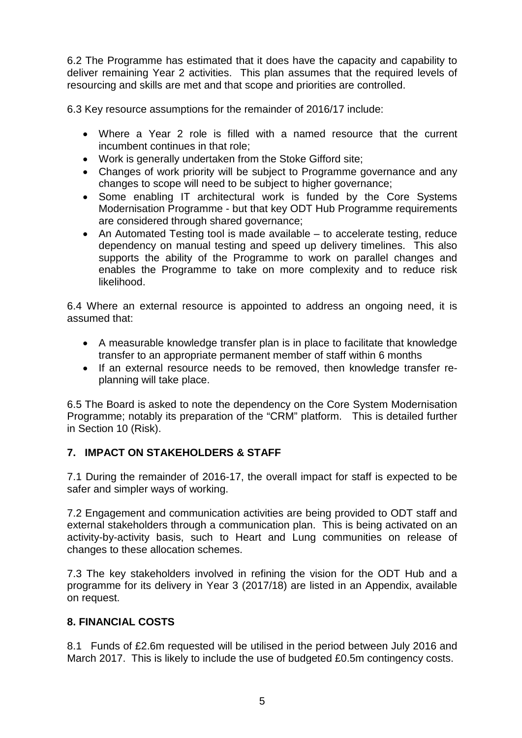6.2 The Programme has estimated that it does have the capacity and capability to deliver remaining Year 2 activities. This plan assumes that the required levels of resourcing and skills are met and that scope and priorities are controlled.

6.3 Key resource assumptions for the remainder of 2016/17 include:

- Where a Year 2 role is filled with a named resource that the current incumbent continues in that role;
- Work is generally undertaken from the Stoke Gifford site;
- Changes of work priority will be subject to Programme governance and any changes to scope will need to be subject to higher governance;
- Some enabling IT architectural work is funded by the Core Systems Modernisation Programme - but that key ODT Hub Programme requirements are considered through shared governance;
- An Automated Testing tool is made available to accelerate testing, reduce dependency on manual testing and speed up delivery timelines. This also supports the ability of the Programme to work on parallel changes and enables the Programme to take on more complexity and to reduce risk likelihood.

6.4 Where an external resource is appointed to address an ongoing need, it is assumed that:

- A measurable knowledge transfer plan is in place to facilitate that knowledge transfer to an appropriate permanent member of staff within 6 months
- If an external resource needs to be removed, then knowledge transfer replanning will take place.

6.5 The Board is asked to note the dependency on the Core System Modernisation Programme; notably its preparation of the "CRM" platform. This is detailed further in Section 10 (Risk).

# **7. IMPACT ON STAKEHOLDERS & STAFF**

7.1 During the remainder of 2016-17, the overall impact for staff is expected to be safer and simpler ways of working.

7.2 Engagement and communication activities are being provided to ODT staff and external stakeholders through a communication plan. This is being activated on an activity-by-activity basis, such to Heart and Lung communities on release of changes to these allocation schemes.

7.3 The key stakeholders involved in refining the vision for the ODT Hub and a programme for its delivery in Year 3 (2017/18) are listed in an Appendix, available on request.

### **8. FINANCIAL COSTS**

8.1 Funds of £2.6m requested will be utilised in the period between July 2016 and March 2017. This is likely to include the use of budgeted £0.5m contingency costs.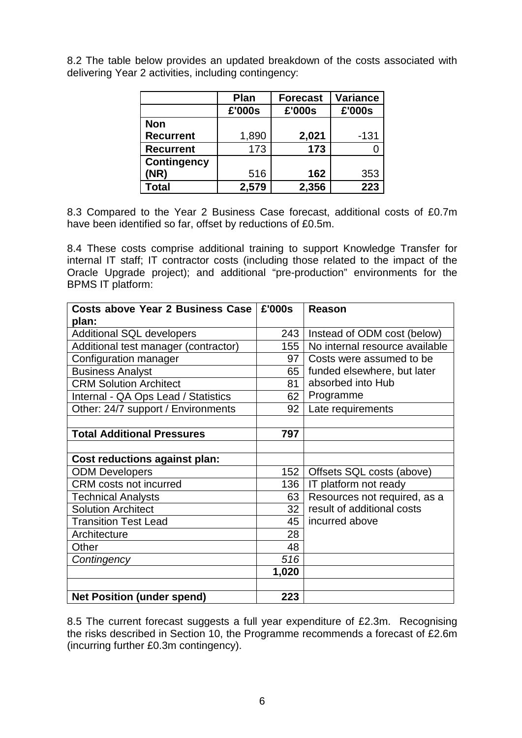8.2 The table below provides an updated breakdown of the costs associated with delivering Year 2 activities, including contingency:

|                    | <b>Plan</b> | <b>Forecast</b> | <b>Variance</b> |
|--------------------|-------------|-----------------|-----------------|
|                    | £'000s      | £'000s          | £'000s          |
| <b>Non</b>         |             |                 |                 |
| <b>Recurrent</b>   | 1,890       | 2,021           | $-131$          |
| <b>Recurrent</b>   | 173         | 173             |                 |
| <b>Contingency</b> |             |                 |                 |
| (NR)               | 516         | 162             | 353             |
| Total              | 2,579       | 2,356           | 223             |

8.3 Compared to the Year 2 Business Case forecast, additional costs of £0.7m have been identified so far, offset by reductions of £0.5m.

8.4 These costs comprise additional training to support Knowledge Transfer for internal IT staff; IT contractor costs (including those related to the impact of the Oracle Upgrade project); and additional "pre-production" environments for the BPMS IT platform:

| Costs above Year 2 Business Case     | £'000s | Reason                         |
|--------------------------------------|--------|--------------------------------|
| plan:                                |        |                                |
| <b>Additional SQL developers</b>     | 243    | Instead of ODM cost (below)    |
| Additional test manager (contractor) | 155    | No internal resource available |
| Configuration manager                | 97     | Costs were assumed to be       |
| <b>Business Analyst</b>              | 65     | funded elsewhere, but later    |
| <b>CRM Solution Architect</b>        | 81     | absorbed into Hub              |
| Internal - QA Ops Lead / Statistics  | 62     | Programme                      |
| Other: 24/7 support / Environments   | 92     | Late requirements              |
|                                      |        |                                |
| <b>Total Additional Pressures</b>    | 797    |                                |
|                                      |        |                                |
| <b>Cost reductions against plan:</b> |        |                                |
| <b>ODM Developers</b>                | 152    | Offsets SQL costs (above)      |
| <b>CRM</b> costs not incurred        | 136    | IT platform not ready          |
| <b>Technical Analysts</b>            | 63     | Resources not required, as a   |
| <b>Solution Architect</b>            | 32     | result of additional costs     |
| <b>Transition Test Lead</b>          | 45     | incurred above                 |
| Architecture                         | 28     |                                |
| Other                                | 48     |                                |
| Contingency                          | 516    |                                |
|                                      | 1,020  |                                |
|                                      |        |                                |
| <b>Net Position (under spend)</b>    | 223    |                                |

8.5 The current forecast suggests a full year expenditure of £2.3m. Recognising the risks described in Section 10, the Programme recommends a forecast of £2.6m (incurring further £0.3m contingency).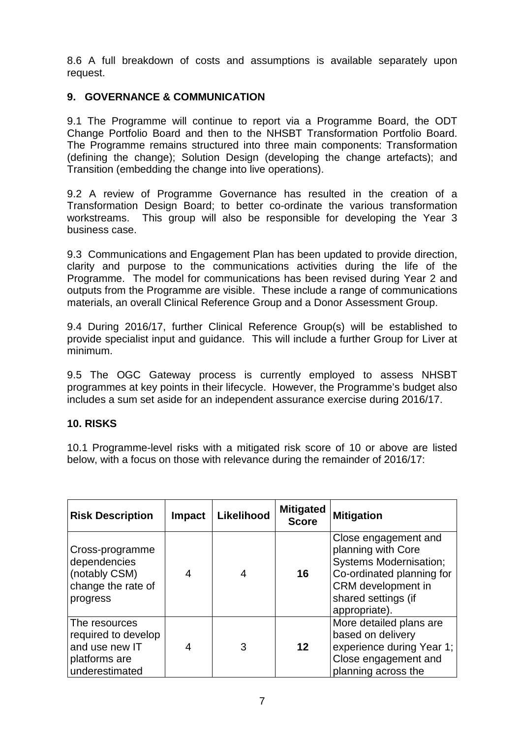8.6 A full breakdown of costs and assumptions is available separately upon request.

# **9. GOVERNANCE & COMMUNICATION**

9.1 The Programme will continue to report via a Programme Board, the ODT Change Portfolio Board and then to the NHSBT Transformation Portfolio Board. The Programme remains structured into three main components: Transformation (defining the change); Solution Design (developing the change artefacts); and Transition (embedding the change into live operations).

9.2 A review of Programme Governance has resulted in the creation of a Transformation Design Board; to better co-ordinate the various transformation workstreams. This group will also be responsible for developing the Year 3 business case.

9.3 Communications and Engagement Plan has been updated to provide direction, clarity and purpose to the communications activities during the life of the Programme. The model for communications has been revised during Year 2 and outputs from the Programme are visible. These include a range of communications materials, an overall Clinical Reference Group and a Donor Assessment Group.

9.4 During 2016/17, further Clinical Reference Group(s) will be established to provide specialist input and guidance. This will include a further Group for Liver at minimum.

9.5 The OGC Gateway process is currently employed to assess NHSBT programmes at key points in their lifecycle. However, the Programme's budget also includes a sum set aside for an independent assurance exercise during 2016/17.

### **10. RISKS**

10.1 Programme-level risks with a mitigated risk score of 10 or above are listed below, with a focus on those with relevance during the remainder of 2016/17:

| <b>Risk Description</b>                                                                   | <b>Impact</b> | Likelihood | <b>Mitigated</b><br><b>Score</b> | <b>Mitigation</b>                                                                                                                                                      |
|-------------------------------------------------------------------------------------------|---------------|------------|----------------------------------|------------------------------------------------------------------------------------------------------------------------------------------------------------------------|
| Cross-programme<br>dependencies<br>(notably CSM)<br>change the rate of<br>progress        | 4             | 4          | 16                               | Close engagement and<br>planning with Core<br><b>Systems Modernisation;</b><br>Co-ordinated planning for<br>CRM development in<br>shared settings (if<br>appropriate). |
| The resources<br>required to develop<br>and use new IT<br>platforms are<br>underestimated | 4             | 3          | $12 \overline{ }$                | More detailed plans are<br>based on delivery<br>experience during Year 1;<br>Close engagement and<br>planning across the                                               |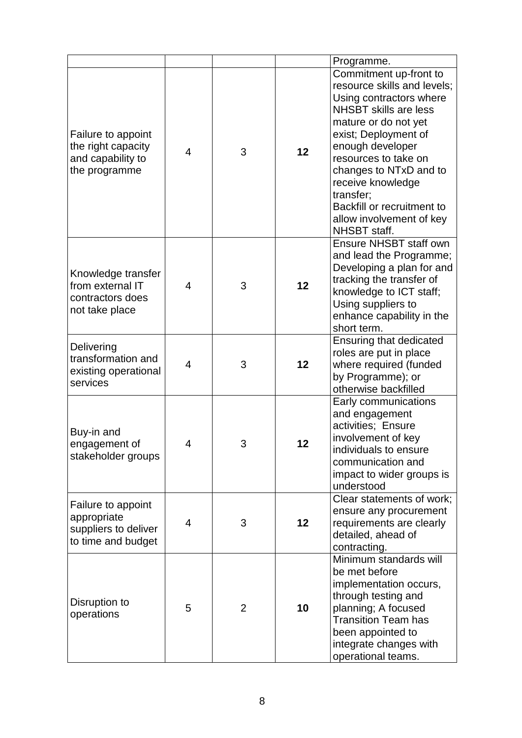|                                                                                 |                          |   |    | Programme.                                                                                                                                                                                                                                                                                                                                         |
|---------------------------------------------------------------------------------|--------------------------|---|----|----------------------------------------------------------------------------------------------------------------------------------------------------------------------------------------------------------------------------------------------------------------------------------------------------------------------------------------------------|
| Failure to appoint<br>the right capacity<br>and capability to<br>the programme  | $\overline{\mathcal{L}}$ | 3 | 12 | Commitment up-front to<br>resource skills and levels;<br>Using contractors where<br><b>NHSBT</b> skills are less<br>mature or do not yet<br>exist; Deployment of<br>enough developer<br>resources to take on<br>changes to NTxD and to<br>receive knowledge<br>transfer;<br>Backfill or recruitment to<br>allow involvement of key<br>NHSBT staff. |
| Knowledge transfer<br>from external IT<br>contractors does<br>not take place    | $\overline{4}$           | 3 | 12 | Ensure NHSBT staff own<br>and lead the Programme;<br>Developing a plan for and<br>tracking the transfer of<br>knowledge to ICT staff;<br>Using suppliers to<br>enhance capability in the<br>short term.                                                                                                                                            |
| Delivering<br>transformation and<br>existing operational<br>services            | $\overline{4}$           | 3 | 12 | Ensuring that dedicated<br>roles are put in place<br>where required (funded<br>by Programme); or<br>otherwise backfilled                                                                                                                                                                                                                           |
| Buy-in and<br>engagement of<br>stakeholder groups                               | 4                        | 3 | 12 | Early communications<br>and engagement<br>activities; Ensure<br>involvement of key<br>individuals to ensure<br>communication and<br>impact to wider groups is<br>understood                                                                                                                                                                        |
| Failure to appoint<br>appropriate<br>suppliers to deliver<br>to time and budget | $\overline{4}$           | 3 | 12 | Clear statements of work;<br>ensure any procurement<br>requirements are clearly<br>detailed, ahead of<br>contracting.                                                                                                                                                                                                                              |
| Disruption to<br>operations                                                     | 5                        | 2 | 10 | Minimum standards will<br>be met before<br>implementation occurs,<br>through testing and<br>planning; A focused<br><b>Transition Team has</b><br>been appointed to<br>integrate changes with<br>operational teams.                                                                                                                                 |